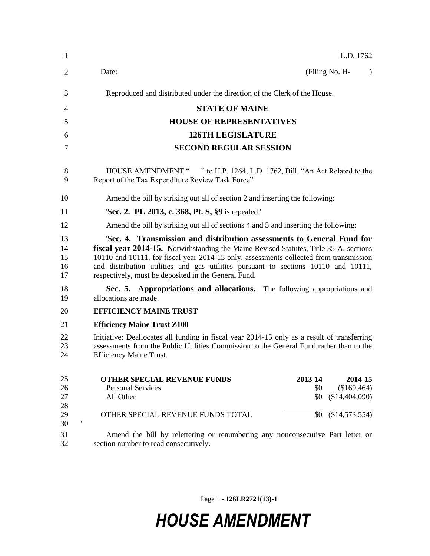| 1                          | L.D. 1762                                                                                                                                                                                                                                                                                                                                                                                               |
|----------------------------|---------------------------------------------------------------------------------------------------------------------------------------------------------------------------------------------------------------------------------------------------------------------------------------------------------------------------------------------------------------------------------------------------------|
| 2                          | (Filing No. H-<br>Date:<br>$\lambda$                                                                                                                                                                                                                                                                                                                                                                    |
| 3                          | Reproduced and distributed under the direction of the Clerk of the House.                                                                                                                                                                                                                                                                                                                               |
| 4                          | <b>STATE OF MAINE</b>                                                                                                                                                                                                                                                                                                                                                                                   |
| 5                          | <b>HOUSE OF REPRESENTATIVES</b>                                                                                                                                                                                                                                                                                                                                                                         |
| 6                          | <b>126TH LEGISLATURE</b>                                                                                                                                                                                                                                                                                                                                                                                |
| 7                          | <b>SECOND REGULAR SESSION</b>                                                                                                                                                                                                                                                                                                                                                                           |
| 8<br>9                     | HOUSE AMENDMENT " " to H.P. 1264, L.D. 1762, Bill, "An Act Related to the<br>Report of the Tax Expenditure Review Task Force"                                                                                                                                                                                                                                                                           |
| 10                         | Amend the bill by striking out all of section 2 and inserting the following:                                                                                                                                                                                                                                                                                                                            |
| 11                         | Sec. 2. PL 2013, c. 368, Pt. S, §9 is repealed.                                                                                                                                                                                                                                                                                                                                                         |
| 12                         | Amend the bill by striking out all of sections 4 and 5 and inserting the following:                                                                                                                                                                                                                                                                                                                     |
| 13<br>14<br>15<br>16<br>17 | 'Sec. 4. Transmission and distribution assessments to General Fund for<br>fiscal year 2014-15. Notwithstanding the Maine Revised Statutes, Title 35-A, sections<br>10110 and 10111, for fiscal year 2014-15 only, assessments collected from transmission<br>and distribution utilities and gas utilities pursuant to sections 10110 and 10111,<br>respectively, must be deposited in the General Fund. |
| 18<br>19                   | Sec. 5. Appropriations and allocations. The following appropriations and<br>allocations are made.                                                                                                                                                                                                                                                                                                       |
| 20                         | <b>EFFICIENCY MAINE TRUST</b>                                                                                                                                                                                                                                                                                                                                                                           |
| 21                         | <b>Efficiency Maine Trust Z100</b>                                                                                                                                                                                                                                                                                                                                                                      |
| 22<br>23<br>24             | Initiative: Deallocates all funding in fiscal year 2014-15 only as a result of transferring<br>assessments from the Public Utilities Commission to the General Fund rather than to the<br><b>Efficiency Maine Trust.</b>                                                                                                                                                                                |
| 25<br>26<br>27<br>28<br>29 | <b>OTHER SPECIAL REVENUE FUNDS</b><br>2013-14<br>2014-15<br><b>Personal Services</b><br>\$0<br>(\$169,464)<br>All Other<br>(\$14,404,090)<br>\$0<br>$$0 \quad ($14,573,554)$<br>OTHER SPECIAL REVENUE FUNDS TOTAL                                                                                                                                                                                       |
| 30<br>31<br>32             | 1<br>Amend the bill by relettering or renumbering any nonconsecutive Part letter or<br>section number to read consecutively.                                                                                                                                                                                                                                                                            |

Page 1 **- 126LR2721(13)-1**

## *HOUSE AMENDMENT*